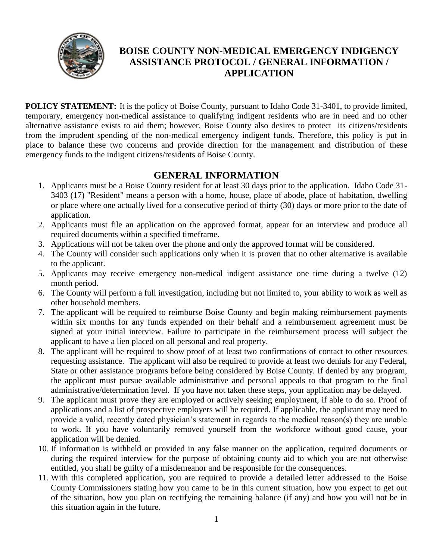

# **BOISE COUNTY NON-MEDICAL EMERGENCY INDIGENCY ASSISTANCE PROTOCOL / GENERAL INFORMATION / APPLICATION**

**POLICY STATEMENT:** It is the policy of Boise County, pursuant to Idaho Code 31-3401, to provide limited, temporary, emergency non-medical assistance to qualifying indigent residents who are in need and no other alternative assistance exists to aid them; however, Boise County also desires to protect its citizens/residents from the imprudent spending of the non-medical emergency indigent funds. Therefore, this policy is put in place to balance these two concerns and provide direction for the management and distribution of these emergency funds to the indigent citizens/residents of Boise County.

## **GENERAL INFORMATION**

- 1. Applicants must be a Boise County resident for at least 30 days prior to the application. Idaho Code 31- 3403 (17) "Resident" means a person with a home, house, place of abode, place of habitation, dwelling or place where one actually lived for a consecutive period of thirty (30) days or more prior to the date of application.
- 2. Applicants must file an application on the approved format, appear for an interview and produce all required documents within a specified timeframe.
- 3. Applications will not be taken over the phone and only the approved format will be considered.
- 4. The County will consider such applications only when it is proven that no other alternative is available to the applicant.
- 5. Applicants may receive emergency non-medical indigent assistance one time during a twelve (12) month period.
- 6. The County will perform a full investigation, including but not limited to, your ability to work as well as other household members.
- 7. The applicant will be required to reimburse Boise County and begin making reimbursement payments within six months for any funds expended on their behalf and a reimbursement agreement must be signed at your initial interview. Failure to participate in the reimbursement process will subject the applicant to have a lien placed on all personal and real property.
- 8. The applicant will be required to show proof of at least two confirmations of contact to other resources requesting assistance. The applicant will also be required to provide at least two denials for any Federal, State or other assistance programs before being considered by Boise County. If denied by any program, the applicant must pursue available administrative and personal appeals to that program to the final administrative/determination level. If you have not taken these steps, your application may be delayed.
- 9. The applicant must prove they are employed or actively seeking employment, if able to do so. Proof of applications and a list of prospective employers will be required. If applicable, the applicant may need to provide a valid, recently dated physician's statement in regards to the medical reason(s) they are unable to work. If you have voluntarily removed yourself from the workforce without good cause, your application will be denied.
- 10. If information is withheld or provided in any false manner on the application, required documents or during the required interview for the purpose of obtaining county aid to which you are not otherwise entitled, you shall be guilty of a misdemeanor and be responsible for the consequences.
- 11. With this completed application, you are required to provide a detailed letter addressed to the Boise County Commissioners stating how you came to be in this current situation, how you expect to get out of the situation, how you plan on rectifying the remaining balance (if any) and how you will not be in this situation again in the future.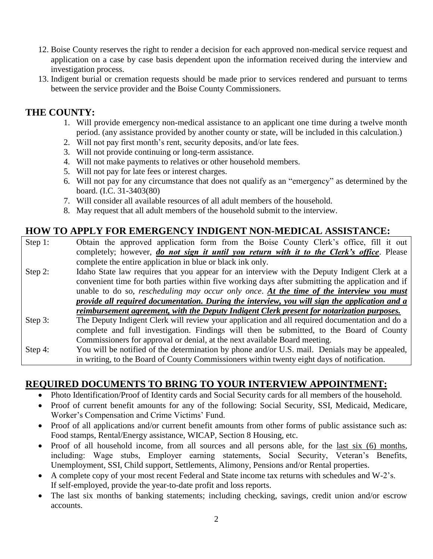- 12. Boise County reserves the right to render a decision for each approved non-medical service request and application on a case by case basis dependent upon the information received during the interview and investigation process.
- 13. Indigent burial or cremation requests should be made prior to services rendered and pursuant to terms between the service provider and the Boise County Commissioners.

## **THE COUNTY:**

- 1. Will provide emergency non-medical assistance to an applicant one time during a twelve month period. (any assistance provided by another county or state, will be included in this calculation.)
- 2. Will not pay first month's rent, security deposits, and/or late fees.
- 3. Will not provide continuing or long-term assistance.
- 4. Will not make payments to relatives or other household members.
- 5. Will not pay for late fees or interest charges.
- 6. Will not pay for any circumstance that does not qualify as an "emergency" as determined by the board. (I.C. 31-3403(80)
- 7. Will consider all available resources of all adult members of the household.
- 8. May request that all adult members of the household submit to the interview.

## **HOW TO APPLY FOR EMERGENCY INDIGENT NON-MEDICAL ASSISTANCE:**

- Step 1: Obtain the approved application form from the Boise County Clerk's office, fill it out completely; however, *do not sign it until you return with it to the Clerk's office*. Please complete the entire application in blue or black ink only.
- Step 2: Idaho State law requires that you appear for an interview with the Deputy Indigent Clerk at a convenient time for both parties within five working days after submitting the application and if unable to do so, *rescheduling may occur only once*. *At the time of the interview you must provide all required documentation. During the interview, you will sign the application and a reimbursement agreement, with the Deputy Indigent Clerk present for notarization purposes.*
- Step 3: The Deputy Indigent Clerk will review your application and all required documentation and do a complete and full investigation. Findings will then be submitted, to the Board of County Commissioners for approval or denial, at the next available Board meeting.
- Step 4: You will be notified of the determination by phone and/or U.S. mail. Denials may be appealed, in writing, to the Board of County Commissioners within twenty eight days of notification.

### **REQUIRED DOCUMENTS TO BRING TO YOUR INTERVIEW APPOINTMENT:**

- Photo Identification/Proof of Identity cards and Social Security cards for all members of the household.
- Proof of current benefit amounts for any of the following: Social Security, SSI, Medicaid, Medicare, Worker's Compensation and Crime Victims' Fund.
- Proof of all applications and/or current benefit amounts from other forms of public assistance such as: Food stamps, Rental/Energy assistance, WICAP, Section 8 Housing, etc.
- Proof of all household income, from all sources and all persons able, for the <u>last six (6)</u> months, including: Wage stubs, Employer earning statements, Social Security, Veteran's Benefits, Unemployment, SSI, Child support, Settlements, Alimony, Pensions and/or Rental properties.
- A complete copy of your most recent Federal and State income tax returns with schedules and W-2's. If self-employed, provide the year-to-date profit and loss reports.
- The last six months of banking statements; including checking, savings, credit union and/or escrow accounts.